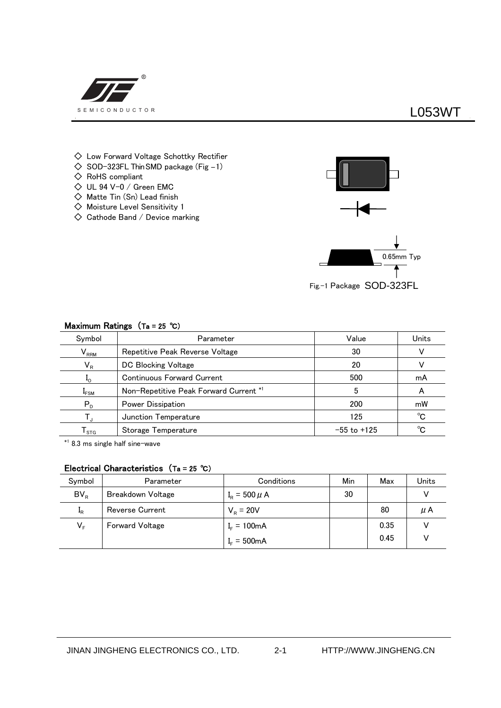

## **L053WT**

- $\diamondsuit$  Low Forward Voltage Schottky Rectifier
- $\diamondsuit$  SOD-323FL Thin SMD package (Fig -1)
- ◇ RoHS compliant
- $\diamondsuit$  UL 94 V-0 / Green EMC
- $\diamondsuit$  Matte Tin  $(Sn)$  Lead finish
- ◇ Moisture Level Sensitivity 1
- $\diamondsuit$  Cathode Band / Device marking



Fig.-1 Package SOD-323FL

| Symbol                | Parameter                              | Value           | Units |
|-----------------------|----------------------------------------|-----------------|-------|
| $V_{RRM}$             | Repetitive Peak Reverse Voltage        | 30              |       |
| $V_R$                 | DC Blocking Voltage                    | 20              |       |
| $\mathbf{I}_{\Omega}$ | <b>Continuous Forward Current</b>      | 500             | mA    |
| $I_{FSM}$             | Non-Repetitive Peak Forward Current *1 |                 | А     |
| $P_{D}$               | Power Dissipation                      | 200             | mW    |
|                       | Junction Temperature                   | 125             | °C    |
| <b>STG</b>            | Storage Temperature                    | $-55$ to $+125$ | °C    |

#### **Maximum Ratings (Ta = 25 ℃)**

\*1 8.3 ms single half sine-wave

### **Electrical Characteristics (Ta = 25 ℃)**

| Symbol           | Parameter                | Conditions                  | Min | Max  | Units |
|------------------|--------------------------|-----------------------------|-----|------|-------|
| $BV_R$           | <b>Breakdown Voltage</b> | $I_{\rm B} = 500 \mu \rm A$ | 30  |      |       |
| $\mathbf{I}_{R}$ | <b>Reverse Current</b>   | $V_{\rm R} = 20V$           |     | 80   | μA    |
| VF               | <b>Forward Voltage</b>   | $I_{F} = 100 \text{mA}$     |     | 0.35 |       |
|                  |                          | $I_{F} = 500 \text{mA}$     |     | 0.45 |       |